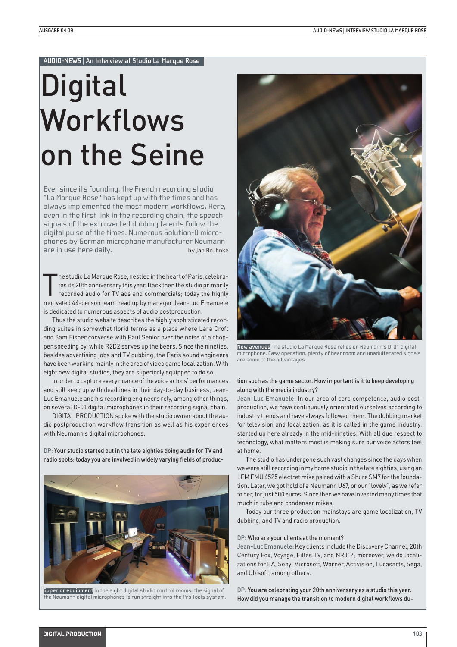#### **AUDIO-NEWS | An Interview at Studio La Marque Rose**

# **Digital** Workflows on the Seine

Ever since its founding, the French recording studio "La Marque Rose" has kept up with the times and has always implemented the most modern workflows. Here, even in the first link in the recording chain, the speech signals of the extroverted dubbing talents follow the digital pulse of the times. Numerous Solution-D microphones by German microphone manufacturer Neumann are in use here daily. by Jan Bruhnke

The studio La Marque Rose, nestled in the heart of Paris, celebra-<br>tes its 20th anniversary this year. Back then the studio primarily<br>recorded audio for TV ads and commercials; today the highly<br>motivated 44-person team hea he studio La Marque Rose, nestled in the heart of Paris, celebrates its 20th anniversary this year. Back then the studio primarily recorded audio for TV ads and commercials; today the highly is dedicated to numerous aspects of audio postproduction.

Thus the studio website describes the highly sophisticated recording suites in somewhat florid terms as a place where Lara Croft and Sam Fisher converse with Paul Senior over the noise of a chopper speeding by, while R2D2 serves up the beers. Since the nineties, besides advertising jobs and TV dubbing, the Paris sound engineers have been working mainly in the area of video game localization. With eight new digital studios, they are superiorly equipped to do so.

In order to capture every nuance of the voice actors' performances and still keep up with deadlines in their day-to-day business, Jean-Luc Emanuele and his recording engineers rely, among other things, on several D-01 digital microphones in their recording signal chain.

DIGITAL PRODUCTION spoke with the studio owner about the audio postproduction workflow transition as well as his experiences with Neumann's digital microphones.

DP: Your studio started out in the late eighties doing audio for TV and radio spots; today you are involved in widely varying fields of produc-



**Superior equipment** In the eight digital studio control rooms, the signal of the Neumann digital microphones is run straight into the Pro Tools system.



**New avenues** The studio La Marque Rose relies on Neumann's D-01 digital microphone. Easy operation, plenty of headroom and unadulterated signals are some of the advantages.

# tion such as the game sector. How important is it to keep developing along with the media industry?

Jean-Luc Emanuele: In our area of core competence, audio postproduction, we have continuously orientated ourselves according to industry trends and have always followed them. The dubbing market for television and localization, as it is called in the game industry, started up here already in the mid-nineties. With all due respect to technology, what matters most is making sure our voice actors feel at home.

The studio has undergone such vast changes since the days when we were still recording in my home studio in the late eighties, using an LEM EMU 4525 electret mike paired with a Shure SM7 for the foundation. Later, we got hold of a Neumann U67, or our "lovely", as we refer to her, for just 500 euros. Since then we have invested many times that much in tube and condenser mikes.

Today our three production mainstays are game localization, TV dubbing, and TV and radio production.

#### DP: Who are your clients at the moment?

Jean-Luc Emanuele: Key clients include the Discovery Channel, 20th Century Fox, Voyage, Filles TV, and NRJ12; moreover, we do localizations for EA, Sony, Microsoft, Warner, Activision, Lucasarts, Sega, and Ubisoft, among others.

DP: You are celebrating your 20th anniversary as a studio this year. How did you manage the transition to modern digital workflows du-